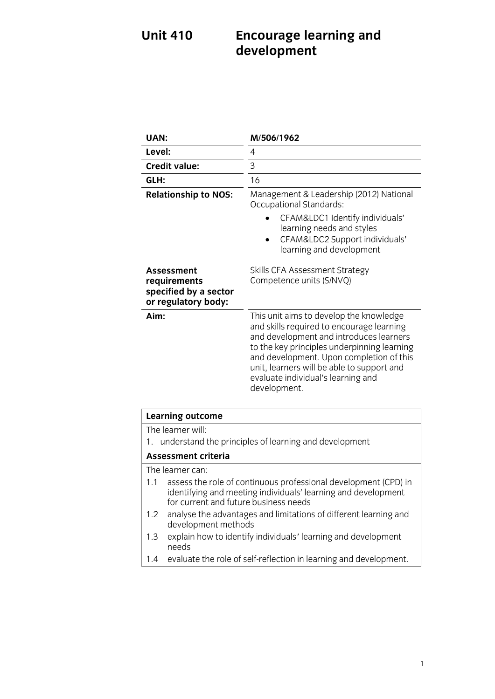## **Unit 410 Unit 410 Encourage 19 Encourage 19 and 20 development**

| UAN:                                                                              | M/506/1962                                                                                                                                                                                                                                                                                                                     |
|-----------------------------------------------------------------------------------|--------------------------------------------------------------------------------------------------------------------------------------------------------------------------------------------------------------------------------------------------------------------------------------------------------------------------------|
| Level:                                                                            | 4                                                                                                                                                                                                                                                                                                                              |
| <b>Credit value:</b>                                                              | 3                                                                                                                                                                                                                                                                                                                              |
| GLH:                                                                              | 16                                                                                                                                                                                                                                                                                                                             |
| <b>Relationship to NOS:</b>                                                       | Management & Leadership (2012) National<br><b>Occupational Standards:</b>                                                                                                                                                                                                                                                      |
|                                                                                   | CFAM&LDC1 Identify individuals'<br>learning needs and styles<br>CFAM&LDC2 Support individuals'<br>learning and development                                                                                                                                                                                                     |
| <b>Assessment</b><br>requirements<br>specified by a sector<br>or regulatory body: | Skills CFA Assessment Strategy<br>Competence units (S/NVQ)                                                                                                                                                                                                                                                                     |
| Aim:                                                                              | This unit aims to develop the knowledge<br>and skills required to encourage learning<br>and development and introduces learners<br>to the key principles underpinning learning<br>and development. Upon completion of this<br>unit, learners will be able to support and<br>evaluate individual's learning and<br>development. |
| <b>Learning outcome</b>                                                           |                                                                                                                                                                                                                                                                                                                                |
| The learner will:<br>1.                                                           | understand the principles of learning and development                                                                                                                                                                                                                                                                          |
| <b>Assessment criteria</b>                                                        |                                                                                                                                                                                                                                                                                                                                |

The learner can:

- 1.1 assess the role of continuous professional development (CPD) in identifying and meeting individuals' learning and development for current and future business needs
- analyse the advantages and limitations of different learning and 1.2 analyse the advantages<br>development methods
- 1.3 explain how to identify individuals' learning and development<br>needs
- needs  $\frac{1}{2}$  evaluate the role of self-reflection in learning and development.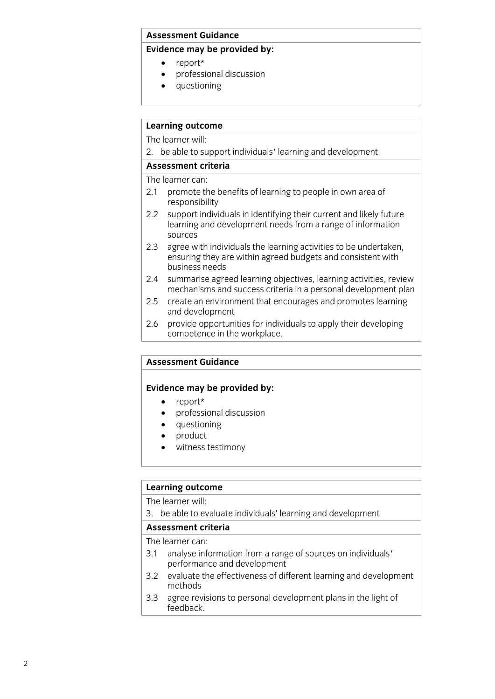### **Assessment Guidance**

### **Evidence may be provided by:**

- 
- **EVIDENCE**<br> **EVIDENCE**<br> **EVIDENCE**<br> **EVIDENCE**<br> **EVIDENCE**<br> **EVIDENCE**  professional discussion
	- questioning

## **Learning outcome**

The learner will:

2. be able to support individuals' learning and development

The learner can:

- 2.1 promote the benefits of learning to people in own area of responsibility
- support individuals in identifying their current and likely future 2.2 support individuals in identifying their current and likely future sources
- agree with individuals the learning activities to be undertaken.  $2.3$ ensuring they are within agreed budgets and consistent with business needs
- $2.4$ summarise agreed learning objectives, learning activities, review mechanisms and success criteria in a personal development plan
- create an environment that encourages and promotes learning 2.5 create an environment<br>and development
- $2.6$ provide opportunities for individuals to apply their developing competence in the workplace. <u>competence in the workplace. The work place is the work</u>

## **Assessment Guidance**

## **Evidence may be provided by:**<br> **e** report\*

- report\*<br>• profess
- professional discussion<br>• questioning
- questioning
- product
- witness testimony

## **Learning outcome**<br>The learner will:

3. be able to evaluate individuals' learning and development

## Assessment criteria

The learner can:

- 3.1 analyse information from a range of sources on individuals'<br>nerformance and development
- performance and development<br>evaluate the effectiveness of different learning and development 3.2 evaluate the effective states
- agree revisions to personal development plans in the light of 3.3 agree revised<br>Seedback feedback.com